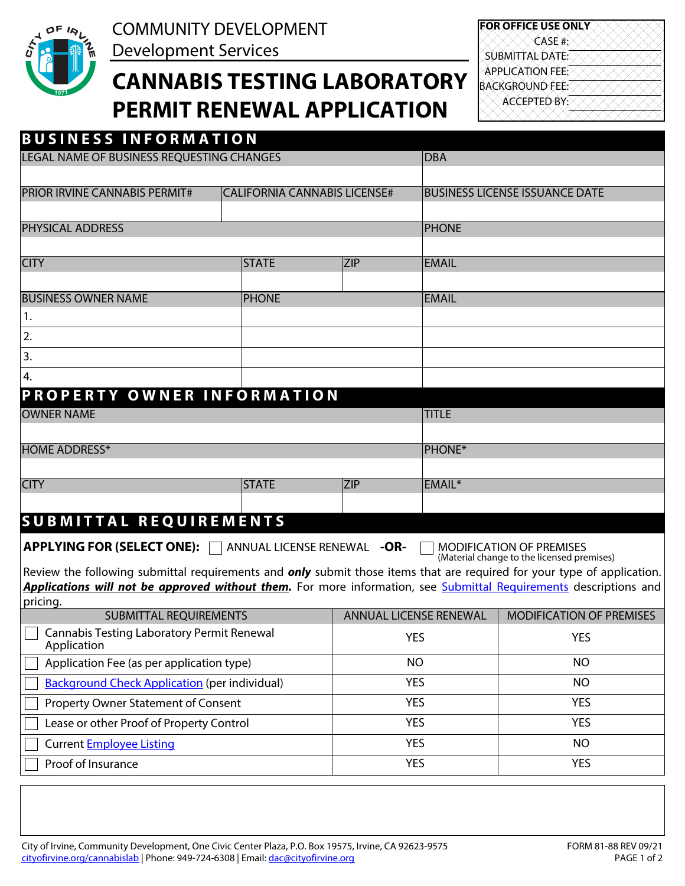

COMMUNITY DEVELOPMENT Development Services

# **CANNABIS TESTING LABORATORY PERMIT RENEWAL APPLICATION**

**FOR OFFICE USE ONLY** BACKGROUND FEE: APPLICATION FEE: SUBMITTAL DATE: CASE #: ACCEPTED BY:

| <b>BUSINESS INFORMATION</b>                                                                                                    |                                               |            |                        |                                            |
|--------------------------------------------------------------------------------------------------------------------------------|-----------------------------------------------|------------|------------------------|--------------------------------------------|
| LEGAL NAME OF BUSINESS REQUESTING CHANGES                                                                                      |                                               | <b>DBA</b> |                        |                                            |
|                                                                                                                                |                                               |            |                        |                                            |
| <b>PRIOR IRVINE CANNABIS PERMIT#</b>                                                                                           | <b>CALIFORNIA CANNABIS LICENSE#</b>           |            |                        | <b>BUSINESS LICENSE ISSUANCE DATE</b>      |
|                                                                                                                                |                                               |            |                        |                                            |
| <b>PHYSICAL ADDRESS</b>                                                                                                        |                                               |            | <b>PHONE</b>           |                                            |
|                                                                                                                                |                                               |            |                        |                                            |
| <b>CITY</b>                                                                                                                    | <b>STATE</b><br>$\blacktriangledown$          | <b>ZIP</b> | <b>EMAIL</b>           |                                            |
| <b>BUSINESS OWNER NAME</b>                                                                                                     | <b>PHONE</b>                                  |            | <b>EMAIL</b>           |                                            |
| 1.                                                                                                                             |                                               |            |                        |                                            |
| 2.                                                                                                                             |                                               |            |                        |                                            |
| 3.                                                                                                                             |                                               |            |                        |                                            |
| 4.                                                                                                                             |                                               |            |                        |                                            |
| PROPERTY OWNER INFORMATION                                                                                                     |                                               |            |                        |                                            |
| <b>OWNER NAME</b>                                                                                                              |                                               |            | <b>TITLE</b>           |                                            |
|                                                                                                                                |                                               |            |                        |                                            |
| <b>HOME ADDRESS*</b>                                                                                                           |                                               |            | <b>PHONE*</b>          |                                            |
|                                                                                                                                |                                               |            |                        |                                            |
| <b>CITY</b>                                                                                                                    | <b>STATE</b>                                  | <b>ZIP</b> | EMAIL*                 |                                            |
|                                                                                                                                | $\boxed{\blacksquare}$                        |            |                        |                                            |
| <b>SUBMITTAL REQUIREMENTS</b>                                                                                                  |                                               |            |                        |                                            |
| <b>APPLYING FOR (SELECT ONE):</b>                                                                                              | ANNUAL LICENSE RENEWAL -OR-<br>$\blacksquare$ |            |                        | <b>MODIFICATION OF PREMISES</b>            |
| Review the following submittal requirements and <i>only</i> submit those items that are required for your type of application. |                                               |            |                        | (Material change to the licensed premises) |
| Applications will not be approved without them. For more information, see Submittal Requirements descriptions and              |                                               |            |                        |                                            |
| pricing.                                                                                                                       |                                               |            |                        |                                            |
| <b>SUBMITTAL REQUIREMENTS</b>                                                                                                  |                                               |            | ANNUAL LICENSE RENEWAL | MODIFICATION OF PREMISES                   |
| <b>Cannabis Testing Laboratory Permit Renewal</b><br>Application                                                               |                                               | YES        |                        | <b>YES</b>                                 |
| Application Fee (as per application type)                                                                                      |                                               | <b>NO</b>  |                        | <b>NO</b>                                  |
| <b>Background Check Application (per individual)</b>                                                                           |                                               |            | <b>YES</b>             | <b>NO</b>                                  |
| Property Owner Statement of Consent                                                                                            |                                               |            | <b>YES</b>             | <b>YES</b>                                 |
| Lease or other Proof of Property Control                                                                                       |                                               |            | <b>YES</b>             | <b>YES</b>                                 |
| <b>Current Employee Listing</b>                                                                                                |                                               |            | <b>YES</b>             | <b>NO</b>                                  |
| Proof of Insurance                                                                                                             |                                               |            | <b>YES</b>             | <b>YES</b>                                 |